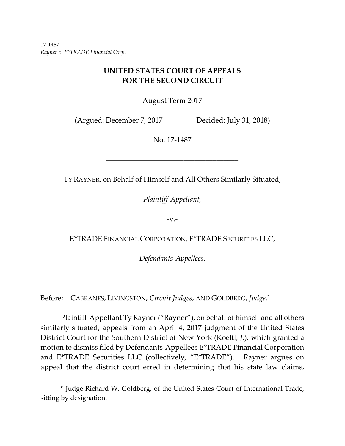17‐1487 *Rayner v. E\*TRADE Financial Corp.*

 $\overline{a}$ 

# **UNITED STATES COURT OF APPEALS FOR THE SECOND CIRCUIT**

August Term 2017

(Argued: December 7, 2017 Decided: July 31, 2018)

No. 17‐1487

TY RAYNER, on Behalf of Himself and All Others Similarly Situated,

––––––––––––––––––––––––––––––––––––

*Plaintiff‐Appellant,*

 $-V.$ -

E\*TRADE FINANCIAL CORPORATION, E\*TRADE SECURITIES LLC,

*Defendants‐Appellees*.

––––––––––––––––––––––––––––––––––––

Before: CABRANES, LIVINGSTON, *Circuit Judges*, AND GOLDBERG, *Judge*. \*

Plaintiff‐Appellant Ty Rayner("Rayner"), on behalf of himself and all others similarly situated, appeals from an April 4, 2017 judgment of the United States District Court for the Southern District of New York (Koeltl, *J.*), which granted a motion to dismiss filed by Defendants‐Appellees E\*TRADE Financial Corporation and E\*TRADE Securities LLC (collectively, "E\*TRADE"). Rayner argues on appeal that the district court erred in determining that his state law claims,

<sup>\*</sup> Judge Richard W. Goldberg, of the United States Court of International Trade, sitting by designation.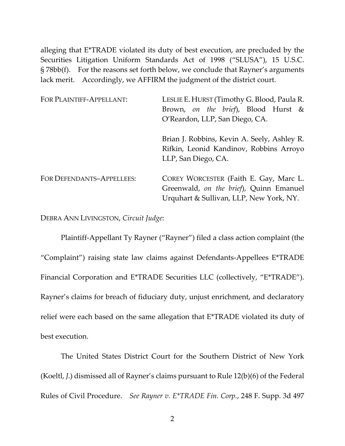alleging that E\*TRADE violated its duty of best execution, are precluded by the Securities Litigation Uniform Standards Act of 1998 ("SLUSA"), 15 U.S.C. § 78bb(f). For the reasons set forth below, we conclude that Rayner's arguments lack merit. Accordingly, we AFFIRM the judgment of the district court.

| FOR PLAINTIFF-APPELLANT:  | LESLIE E. HURST (Timothy G. Blood, Paula R.                                                                                  |
|---------------------------|------------------------------------------------------------------------------------------------------------------------------|
|                           | Brown, on the brief), Blood Hurst &                                                                                          |
|                           | O'Reardon, LLP, San Diego, CA.                                                                                               |
|                           | Brian J. Robbins, Kevin A. Seely, Ashley R.<br>Rifkin, Leonid Kandinov, Robbins Arroyo<br>LLP, San Diego, CA.                |
| FOR DEFENDANTS-APPELLEES: | COREY WORCESTER (Faith E. Gay, Marc L.<br>Greenwald, on the brief), Quinn Emanuel<br>Urquhart & Sullivan, LLP, New York, NY. |

DEBRA ANN LIVINGSTON, *Circuit Judge*:

Plaintiff‐Appellant Ty Rayner ("Rayner") filed a class action complaint (the "Complaint") raising state law claims against Defendants‐Appellees E\*TRADE Financial Corporation and E\*TRADE Securities LLC (collectively, "E\*TRADE"). Rayner's claims for breach of fiduciary duty, unjust enrichment, and declaratory relief were each based on the same allegation that E\*TRADE violated its duty of best execution.

The United States District Court for the Southern District of New York (Koeltl, *J.*) dismissed all of Rayner's claims pursuant to Rule 12(b)(6) of the Federal Rules of Civil Procedure. *See Rayner v. E\*TRADE Fin. Corp.*, 248 F. Supp. 3d 497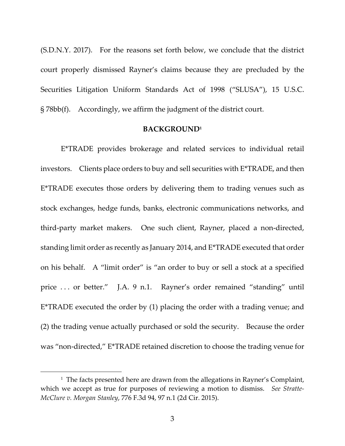(S.D.N.Y. 2017). For the reasons set forth below, we conclude that the district court properly dismissed Rayner's claims because they are precluded by the Securities Litigation Uniform Standards Act of 1998 ("SLUSA"), 15 U.S.C. § 78bb(f). Accordingly, we affirm the judgment of the district court.

### **BACKGROUND1**

E\*TRADE provides brokerage and related services to individual retail investors. Clients place orders to buy and sell securities with E\*TRADE, and then E\*TRADE executes those orders by delivering them to trading venues such as stock exchanges, hedge funds, banks, electronic communications networks, and third‐party market makers. One such client, Rayner, placed a non‐directed, standing limit order as recently as January 2014, and E\*TRADE executed that order on his behalf. A "limit order" is "an order to buy or sell a stock at a specified price ... or better." J.A. 9 n.1. Rayner's order remained "standing" until E\*TRADE executed the order by (1) placing the order with a trading venue; and (2) the trading venue actually purchased or sold the security. Because the order was "non-directed," E\*TRADE retained discretion to choose the trading venue for

 $\overline{a}$ 

<sup>&</sup>lt;sup>1</sup> The facts presented here are drawn from the allegations in Rayner's Complaint, which we accept as true for purposes of reviewing a motion to dismiss. *See Stratte‐ McClure v. Morgan Stanley*, 776 F.3d 94, 97 n.1 (2d Cir. 2015).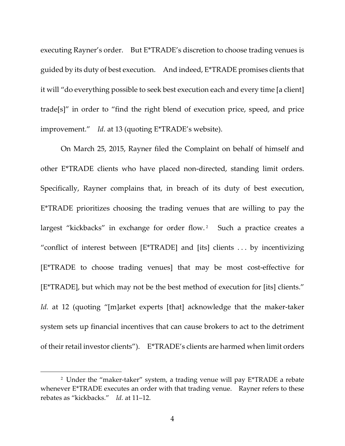executing Rayner's order. But E<sup>\*</sup>TRADE's discretion to choose trading venues is guided by its duty of best execution. And indeed, E\*TRADE promises clients that it will "do everything possible to seek best execution each and every time [a client] trade[s]" in order to "find the right blend of execution price, speed, and price improvement." *Id.* at 13 (quoting E\*TRADE's website).

On March 25, 2015, Rayner filed the Complaint on behalf of himself and other E\*TRADE clients who have placed non‐directed, standing limit orders. Specifically, Rayner complains that, in breach of its duty of best execution, E\*TRADE prioritizes choosing the trading venues that are willing to pay the largest "kickbacks" in exchange for order flow.<sup>2</sup> Such a practice creates a "conflict of interest between [E\*TRADE] and [its] clients . . . by incentivizing [E\*TRADE to choose trading venues] that may be most cost‐effective for [E\*TRADE], but which may not be the best method of execution for [its] clients." *Id.* at 12 (quoting "[m]arket experts [that] acknowledge that the maker-taker system sets up financial incentives that can cause brokers to act to the detriment of their retail investor clients"). E\*TRADE's clients are harmed when limit orders

 $\overline{a}$ 

<sup>&</sup>lt;sup>2</sup> Under the "maker-taker" system, a trading venue will pay  $E^*TRADE$  a rebate whenever E\*TRADE executes an order with that trading venue. Rayner refers to these rebates as "kickbacks." *Id.* at 11–12.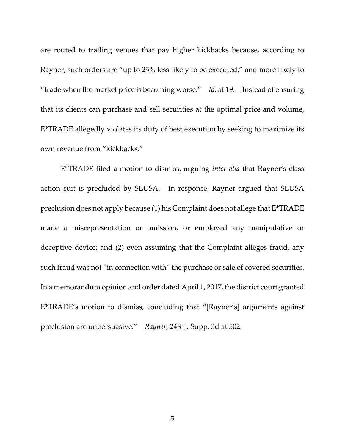are routed to trading venues that pay higher kickbacks because, according to Rayner, such orders are "up to 25% less likely to be executed," and more likely to "trade when the market price is becoming worse." *Id.* at 19. Instead of ensuring that its clients can purchase and sell securities at the optimal price and volume, E\*TRADE allegedly violates its duty of best execution by seeking to maximize its own revenue from "kickbacks."

E\*TRADE filed a motion to dismiss, arguing *inter alia* that Rayner's class action suit is precluded by SLUSA. In response, Rayner argued that SLUSA preclusion does not apply because (1) his Complaint does not allege that E\*TRADE made a misrepresentation or omission, or employed any manipulative or deceptive device; and (2) even assuming that the Complaint alleges fraud, any such fraud was not "in connection with" the purchase or sale of covered securities. In a memorandum opinion and order dated April 1, 2017, the district court granted E\*TRADE's motion to dismiss, concluding that "[Rayner's] arguments against preclusion are unpersuasive." *Rayner*, 248 F. Supp. 3d at 502.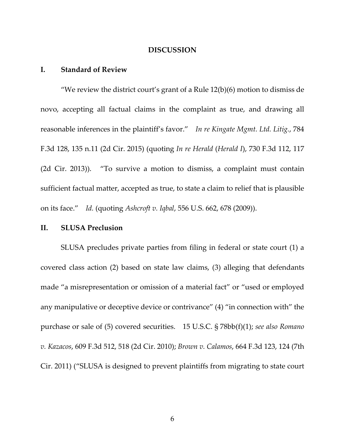#### **DISCUSSION**

## **I. Standard of Review**

"We review the district court's grant of a Rule  $12(b)(6)$  motion to dismiss de novo, accepting all factual claims in the complaint as true, and drawing all reasonable inferences in the plaintiff's favor." *In re Kingate Mgmt. Ltd. Litig.*, 784 F.3d 128, 135 n.11 (2d Cir. 2015) (quoting *In re Herald* (*Herald I*), 730 F.3d 112, 117 (2d Cir. 2013)). "To survive a motion to dismiss, a complaint must contain sufficient factual matter, accepted as true, to state a claim to relief that is plausible on its face." *Id.* (quoting *Ashcroft v. Iqbal*, 556 U.S. 662, 678 (2009)).

#### **II. SLUSA Preclusion**

SLUSA precludes private parties from filing in federal or state court (1) a covered class action (2) based on state law claims, (3) alleging that defendants made "a misrepresentation or omission of a material fact" or "used or employed any manipulative or deceptive device or contrivance" (4) "in connection with" the purchase or sale of (5) covered securities. 15 U.S.C. § 78bb(f)(1); *see also Romano v. Kazacos*, 609 F.3d 512, 518 (2d Cir. 2010); *Brown v. Calamos*, 664 F.3d 123, 124 (7th Cir. 2011) ("SLUSA is designed to prevent plaintiffs from migrating to state court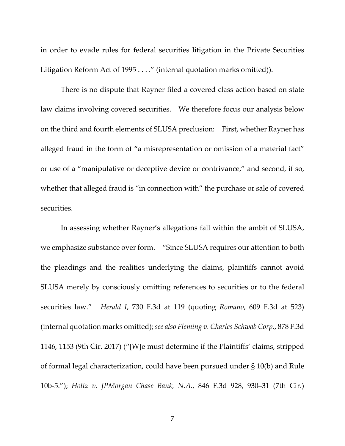in order to evade rules for federal securities litigation in the Private Securities Litigation Reform Act of 1995 . . . ." (internal quotation marks omitted)).

There is no dispute that Rayner filed a covered class action based on state law claims involving covered securities. We therefore focus our analysis below on the third and fourth elements of SLUSA preclusion: First, whether Rayner has alleged fraud in the form of "a misrepresentation or omission of a material fact" or use of a "manipulative or deceptive device or contrivance," and second, if so, whether that alleged fraud is "in connection with" the purchase or sale of covered securities.

In assessing whether Rayner's allegations fall within the ambit of SLUSA, we emphasize substance over form. "Since SLUSA requires our attention to both the pleadings and the realities underlying the claims, plaintiffs cannot avoid SLUSA merely by consciously omitting references to securities or to the federal securities law." *Herald I*, 730 F.3d at 119 (quoting *Romano*, 609 F.3d at 523) (internal quotation marks omitted);*see also Fleming v. Charles Schwab Corp.*, 878 F.3d 1146, 1153 (9th Cir. 2017) ("[W]e must determine if the Plaintiffs' claims, stripped of formal legal characterization, could have been pursued under § 10(b) and Rule 10b‐5."); *Holtz v. JPMorgan Chase Bank, N.A.*, 846 F.3d 928, 930–31 (7th Cir.)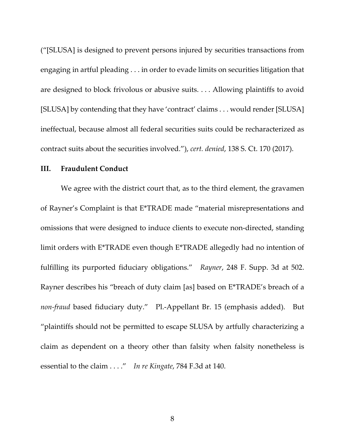("[SLUSA] is designed to prevent persons injured by securities transactions from engaging in artful pleading . . . in order to evade limits on securities litigation that are designed to block frivolous or abusive suits. . . . Allowing plaintiffs to avoid [SLUSA] by contending that they have 'contract' claims . . . would render [SLUSA] ineffectual, because almost all federal securities suits could be recharacterized as contract suits about the securities involved."), *cert. denied*, 138 S. Ct. 170 (2017).

## **III. Fraudulent Conduct**

We agree with the district court that, as to the third element, the gravamen of Rayner's Complaint is that E\*TRADE made "material misrepresentations and omissions that were designed to induce clients to execute non‐directed, standing limit orders with E\*TRADE even though E\*TRADE allegedly had no intention of fulfilling its purported fiduciary obligations." *Rayner*, 248 F. Supp. 3d at 502. Rayner describes his "breach of duty claim [as] based on E\*TRADE's breach of a *non‐fraud* based fiduciary duty." Pl.‐Appellant Br. 15 (emphasis added). But "plaintiffs should not be permitted to escape SLUSA by artfully characterizing a claim as dependent on a theory other than falsity when falsity nonetheless is essential to the claim . . . ." *In re Kingate*, 784 F.3d at 140.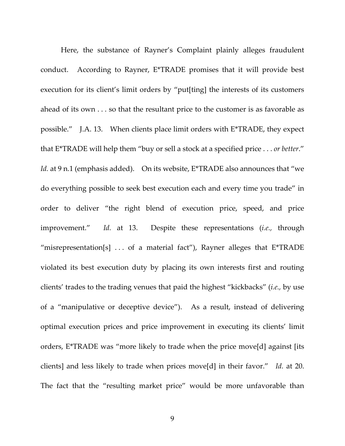Here, the substance of Rayner's Complaint plainly alleges fraudulent conduct. According to Rayner, E\*TRADE promises that it will provide best execution for its client's limit orders by "put[ting] the interests of its customers ahead of its own . . . so that the resultant price to the customer is as favorable as possible." J.A. 13. When clients place limit orders with E\*TRADE, they expect that E\*TRADE will help them "buy or sell a stock at a specified price . . . *or better*." *Id.* at 9 n.1 (emphasis added). On its website, E<sup>\*</sup>TRADE also announces that "we do everything possible to seek best execution each and every time you trade" in order to deliver "the right blend of execution price, speed, and price improvement." *Id.* at 13. Despite these representations (*i.e.,* through "misrepresentation[s]  $\dots$  of a material fact"), Rayner alleges that E\*TRADE violated its best execution duty by placing its own interests first and routing clients' trades to the trading venues that paid the highest "kickbacks" (*i.e.,* by use of a "manipulative or deceptive device"). As a result, instead of delivering optimal execution prices and price improvement in executing its clients' limit orders, E\*TRADE was "more likely to trade when the price move[d] against [its clients] and less likely to trade when prices move[d] in their favor." *Id.* at 20. The fact that the "resulting market price" would be more unfavorable than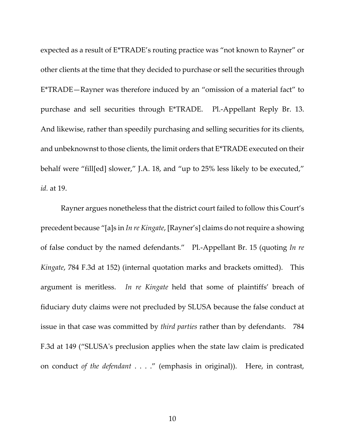expected as a result of E\*TRADE's routing practice was "not known to Rayner" or other clients at the time that they decided to purchase or sell the securities through E\*TRADE—Rayner was therefore induced by an "omission of a material fact" to purchase and sell securities through E\*TRADE. Pl.‐Appellant Reply Br. 13. And likewise, rather than speedily purchasing and selling securities for its clients, and unbeknownst to those clients, the limit orders that E\*TRADE executed on their behalf were "fill[ed] slower," J.A. 18, and "up to 25% less likely to be executed," *id.* at 19.

Rayner argues nonetheless that the district court failed to follow this Court's precedent because "[a]s in *In re Kingate*, [Rayner's] claims do not require a showing of false conduct by the named defendants." Pl.‐Appellant Br. 15 (quoting *In re Kingate*, 784 F.3d at 152) (internal quotation marks and brackets omitted). This argument is meritless. *In re Kingate* held that some of plaintiffs' breach of fiduciary duty claims were not precluded by SLUSA because the false conduct at issue in that case was committed by *third parties* rather than by defendant*s*. 784 F.3d at 149 ("SLUSAʹs preclusion applies when the state law claim is predicated on conduct *of the defendant* . . . ." (emphasis in original)). Here, in contrast,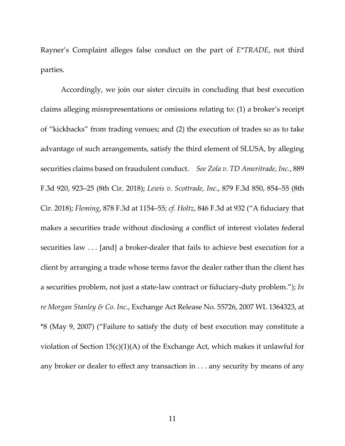Rayner's Complaint alleges false conduct on the part of *E\*TRADE*, not third parties.

Accordingly, we join our sister circuits in concluding that best execution claims alleging misrepresentations or omissions relating to: (1) a broker's receipt of "kickbacks" from trading venues; and (2) the execution of trades so as to take advantage of such arrangements, satisfy the third element of SLUSA, by alleging securities claims based on fraudulent conduct. *See Zola v. TD Ameritrade, Inc.*, 889 F.3d 920, 923–25 (8th Cir. 2018); *Lewis v. Scottrade, Inc.*, 879 F.3d 850, 854–55 (8th Cir. 2018); *Fleming*, 878 F.3d at 1154–55; *cf. Holtz*, 846 F.3d at 932 ("A fiduciary that makes a securities trade without disclosing a conflict of interest violates federal securities law . . . [and] a broker-dealer that fails to achieve best execution for a client by arranging a trade whose terms favor the dealer rather than the client has a securities problem, not just a state‐law contract or fiduciary‐duty problem."); *In re Morgan Stanley & Co. Inc.*, Exchange Act Release No. 55726, 2007 WL 1364323, at \*8 (May 9, 2007) ("Failure to satisfy the duty of best execution may constitute a violation of Section 15(c)(1)(A) of the Exchange Act, which makes it unlawful for any broker or dealer to effect any transaction in . . . any security by means of any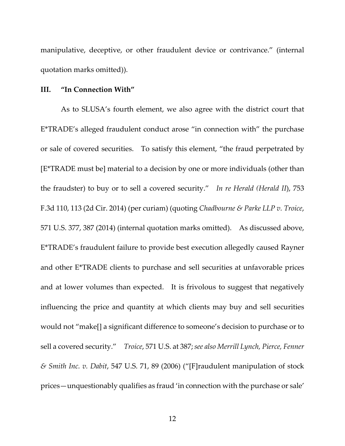manipulative, deceptive, or other fraudulent device or contrivance." (internal quotation marks omitted)).

## **III. "In Connection With"**

As to SLUSA's fourth element, we also agree with the district court that E\*TRADE's alleged fraudulent conduct arose "in connection with" the purchase or sale of covered securities. To satisfy this element, "the fraud perpetrated by [E\*TRADE must be] material to a decision by one or more individuals (other than the fraudster) to buy or to sell a covered security." *In re Herald (Herald II*), 753 F.3d 110, 113 (2d Cir. 2014) (per curiam) (quoting *Chadbourne & Parke LLP v. Troice*, 571 U.S. 377, 387 (2014) (internal quotation marks omitted). As discussed above, E\*TRADE's fraudulent failure to provide best execution allegedly caused Rayner and other E\*TRADE clients to purchase and sell securities at unfavorable prices and at lower volumes than expected. It is frivolous to suggest that negatively influencing the price and quantity at which clients may buy and sell securities would not "make[] a significant difference to someone's decision to purchase or to sell a covered security." *Troice*, 571 U.S. at 387; *see also Merrill Lynch, Pierce, Fenner & Smith Inc. v. Dabit*, 547 U.S. 71, 89 (2006) ("[F]raudulent manipulation of stock prices—unquestionably qualifies as fraud 'in connection with the purchase or sale'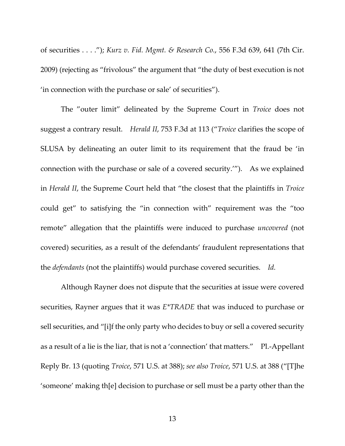of securities . . . ."); *Kurz v. Fid. Mgmt. & Research Co.*, 556 F.3d 639, 641 (7th Cir. 2009) (rejecting as "frivolous" the argument that "the duty of best execution is not 'in connection with the purchase or sale' of securities").

The "outer limit" delineated by the Supreme Court in *Troice* does not suggest a contrary result. *Herald II*, 753 F.3d at 113 ("*Troice* clarifies the scope of SLUSA by delineating an outer limit to its requirement that the fraud be 'in connection with the purchase or sale of a covered security.'"). As we explained in *Herald II*, the Supreme Court held that "the closest that the plaintiffs in *Troice* could get" to satisfying the "in connection with" requirement was the "too remote" allegation that the plaintiffs were induced to purchase *uncovered* (not covered) securities, as a result of the defendants' fraudulent representations that the *defendants* (not the plaintiffs) would purchase covered securities. *Id.*

Although Rayner does not dispute that the securities at issue were covered securities, Rayner argues that it was *E\*TRADE* that was induced to purchase or sell securities, and "[i]f the only party who decides to buy or sell a covered security as a result of a lie is the liar, that is not a 'connection' that matters." Pl.‐Appellant Reply Br. 13 (quoting *Troice*, 571 U.S. at 388); *see also Troice*, 571 U.S. at 388 ("[T]he 'someone' making th[e] decision to purchase or sell must be a party other than the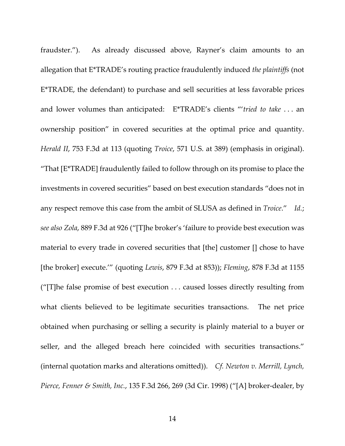fraudster."). As already discussed above, Rayner's claim amounts to an allegation that E\*TRADE's routing practice fraudulently induced *the plaintiffs* (not E\*TRADE, the defendant) to purchase and sell securities at less favorable prices and lower volumes than anticipated: E\*TRADE's clients "'*tried to take* . . . an ownership position" in covered securities at the optimal price and quantity. *Herald II*, 753 F.3d at 113 (quoting *Troice*, 571 U.S. at 389) (emphasis in original). "That [E\*TRADE] fraudulently failed to follow through on its promise to place the investments in covered securities" based on best execution standards "does not in any respect remove this case from the ambit of SLUSA as defined in *Troice*." *Id.*; *see also Zola*, 889 F.3d at 926 ("[T]he broker's 'failure to provide best execution was material to every trade in covered securities that [the] customer [] chose to have [the broker] execute.'" (quoting *Lewis*, 879 F.3d at 853)); *Fleming*, 878 F.3d at 1155 ("[T]he false promise of best execution . . . caused losses directly resulting from what clients believed to be legitimate securities transactions. The net price obtained when purchasing or selling a security is plainly material to a buyer or seller, and the alleged breach here coincided with securities transactions." (internal quotation marks and alterations omitted)). *Cf. Newton v. Merrill, Lynch, Pierce, Fenner & Smith, Inc.*, 135 F.3d 266, 269 (3d Cir. 1998) ("[A] broker‐dealer, by